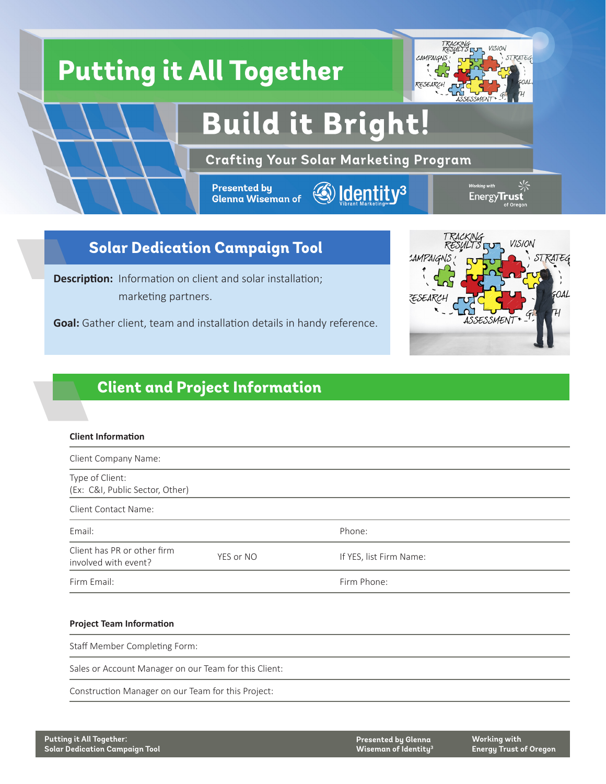

# **Solar Dedication Campaign Tool**

**Description:** Information on client and solar installation; marketing partners.

**Goal:** Gather client, team and installation details in handy reference.



## **Client and Project Information**

#### **Client Information**

| Client Company Name:                                |           |                         |  |  |  |  |
|-----------------------------------------------------|-----------|-------------------------|--|--|--|--|
| Type of Client:<br>(Ex: C&I, Public Sector, Other)  |           |                         |  |  |  |  |
| Client Contact Name:                                |           |                         |  |  |  |  |
| Email:                                              |           | Phone:                  |  |  |  |  |
| Client has PR or other firm<br>involved with event? | YES or NO | If YES, list Firm Name: |  |  |  |  |
| Firm Email:                                         |           | Firm Phone:             |  |  |  |  |

#### **Project Team Information**

Staff Member Completing Form:

Sales or Account Manager on our Team for this Client:

Construction Manager on our Team for this Project: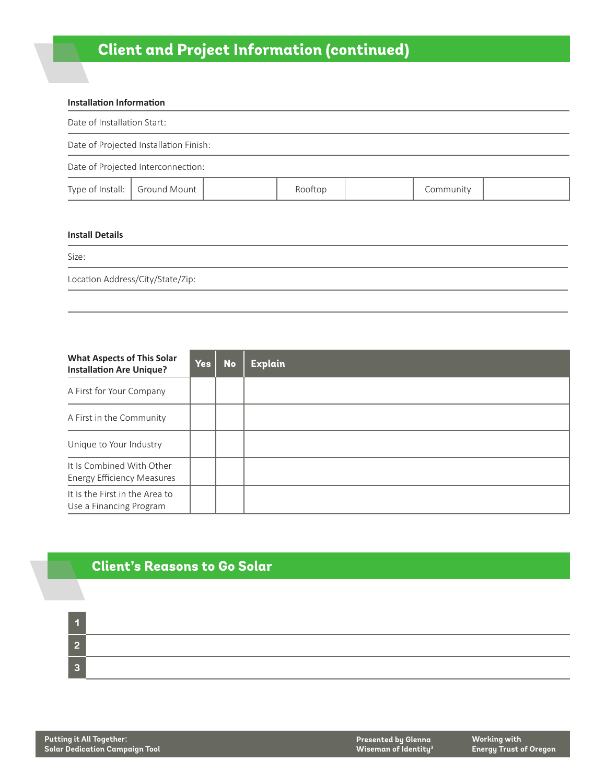# **Client and Project Information (continued)**

| Installation Information           |                                        |  |         |  |           |  |  |  |
|------------------------------------|----------------------------------------|--|---------|--|-----------|--|--|--|
|                                    | Date of Installation Start:            |  |         |  |           |  |  |  |
|                                    | Date of Projected Installation Finish: |  |         |  |           |  |  |  |
|                                    | Date of Projected Interconnection:     |  |         |  |           |  |  |  |
|                                    | Type of Install:   Ground Mount        |  | Rooftop |  | Community |  |  |  |
|                                    |                                        |  |         |  |           |  |  |  |
| $\sim$ $\sim$ $\sim$ $\sim$ $\sim$ |                                        |  |         |  |           |  |  |  |

#### **Install Details**

Size:

Location Address/City/State/Zip:

| <b>What Aspects of This Solar</b><br><b>Installation Are Unique?</b> | <b>Yes</b> | <b>No</b> | <b>Explain</b> |
|----------------------------------------------------------------------|------------|-----------|----------------|
| A First for Your Company                                             |            |           |                |
| A First in the Community                                             |            |           |                |
| Unique to Your Industry                                              |            |           |                |
| It Is Combined With Other<br><b>Energy Efficiency Measures</b>       |            |           |                |
| It Is the First in the Area to<br>Use a Financing Program            |            |           |                |

### **Client's Reasons to Go Solar**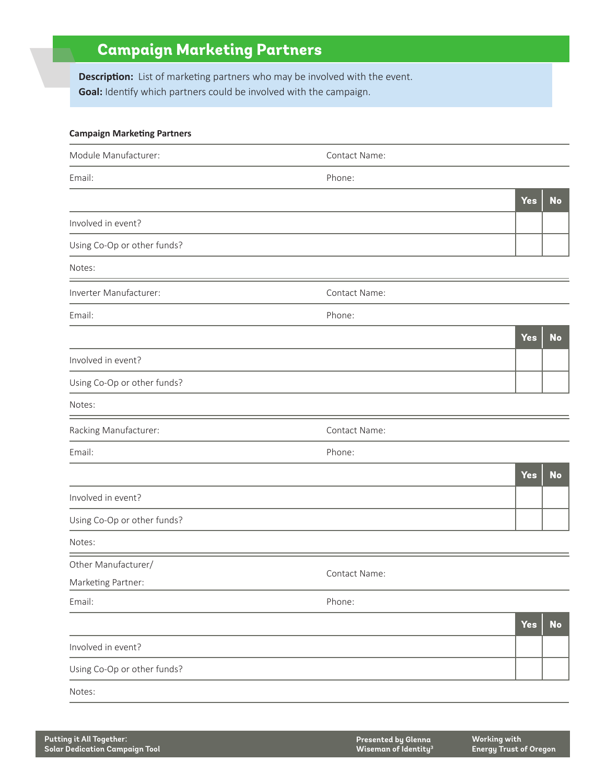# **Campaign Marketing Partners**

**Description:** List of marketing partners who may be involved with the event. **Goal:** Identify which partners could be involved with the campaign.

| <b>Campaign Marketing Partners</b> |               |            |           |
|------------------------------------|---------------|------------|-----------|
| Module Manufacturer:               | Contact Name: |            |           |
| Email:                             | Phone:        |            |           |
|                                    |               | <b>Yes</b> | <b>No</b> |
| Involved in event?                 |               |            |           |
| Using Co-Op or other funds?        |               |            |           |
| Notes:                             |               |            |           |
| Inverter Manufacturer:             | Contact Name: |            |           |
| Email:                             | Phone:        |            |           |
|                                    |               | <b>Yes</b> | <b>No</b> |
| Involved in event?                 |               |            |           |
| Using Co-Op or other funds?        |               |            |           |
| Notes:                             |               |            |           |
| Racking Manufacturer:              | Contact Name: |            |           |
| Email:                             | Phone:        |            |           |
|                                    |               | <b>Yes</b> | <b>No</b> |
| Involved in event?                 |               |            |           |
| Using Co-Op or other funds?        |               |            |           |
| Notes:                             |               |            |           |
| Other Manufacturer/                | Contact Name: |            |           |
| Marketing Partner:                 |               |            |           |
| Email:                             | Phone:        |            |           |
|                                    |               | <b>Yes</b> | No        |
| Involved in event?                 |               |            |           |
| Using Co-Op or other funds?        |               |            |           |
| Notes:                             |               |            |           |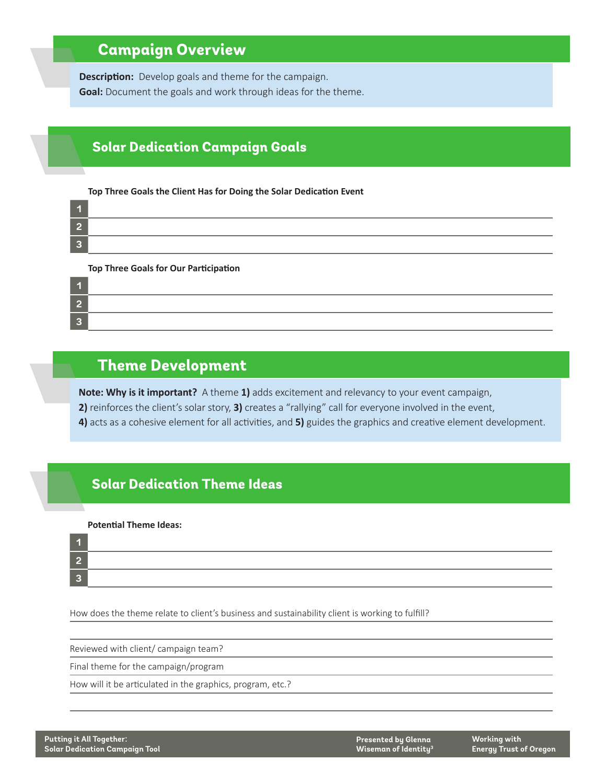# **Campaign Overview**

**Description:** Develop goals and theme for the campaign. **Goal:** Document the goals and work through ideas for the theme.

### **Solar Dedication Campaign Goals**

#### **Top Three Goals the Client Has for Doing the Solar Dedication Event**

#### **Top Three Goals for Our Participation**

| $\overline{A}$ | ,我们也不能会在这里,我们的人们就会在这里,我们也不会在这里,我们也不会在这里,我们也不会在这里,我们也不会在这里,我们也不会在这里,我们也不会在这里,我们也不 |
|----------------|----------------------------------------------------------------------------------|
| $\mathcal{L}$  |                                                                                  |
| $\mathbf{R}$   |                                                                                  |

### **Theme Development**

**Note: Why is it important?** A theme **1)** adds excitement and relevancy to your event campaign, **2)** reinforces the client's solar story, **3)** creates a "rallying" call for everyone involved in the event, **4)** acts as a cohesive element for all activities, and **5)** guides the graphics and creative element development.

### **Solar Dedication Theme Ideas**

#### **Potential Theme Ideas:**

| 27 T            |  |  |  |
|-----------------|--|--|--|
| $\sqrt{2}$      |  |  |  |
| $\vert 3 \vert$ |  |  |  |

How does the theme relate to client's business and sustainability client is working to fulfill?

Reviewed with client/ campaign team?

Final theme for the campaign/program

How will it be articulated in the graphics, program, etc.?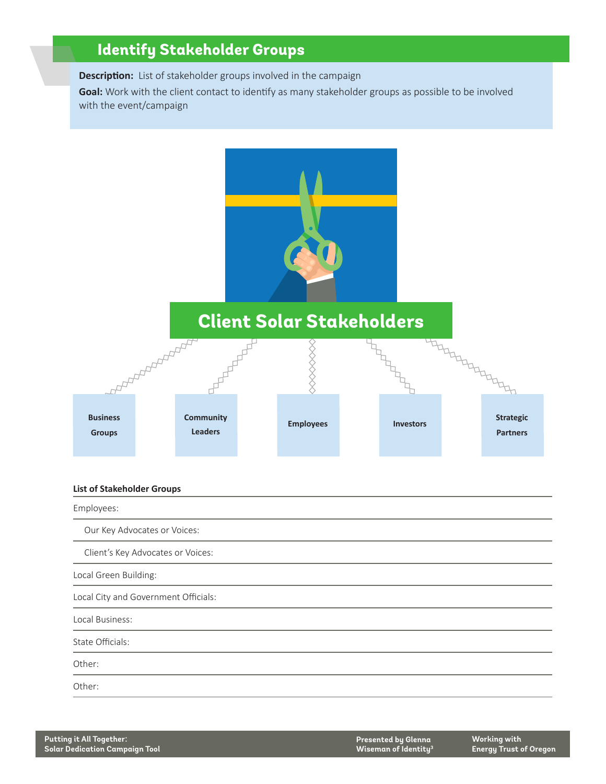# **Identify Stakeholder Groups**

**Description:** List of stakeholder groups involved in the campaign **Goal:** Work with the client contact to identify as many stakeholder groups as possible to be involved with the event/campaign



#### **List of Stakeholder Groups**

Employees: Our Key Advocates or Voices: Client's Key Advocates or Voices: Local Green Building: Local City and Government Officials: Local Business: State Officials: Other: Other: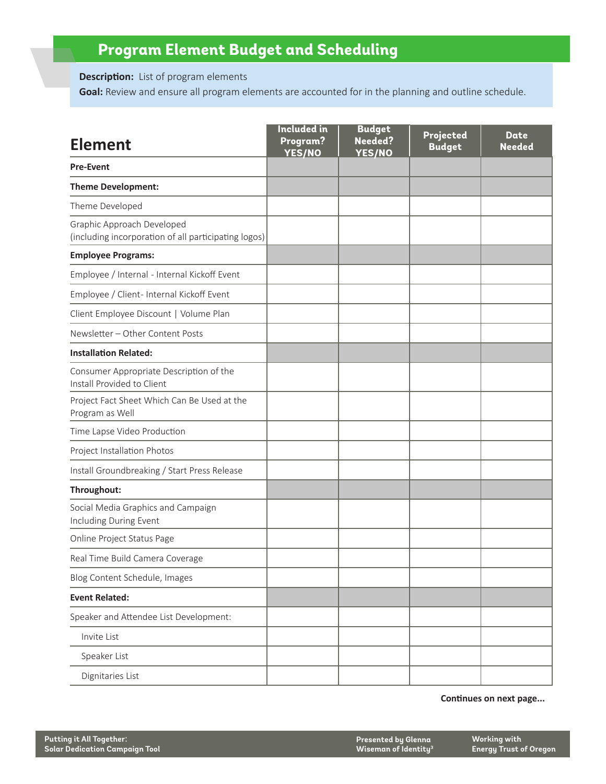# **Program Element Budget and Scheduling**

**Description:** List of program elements

**Goal:** Review and ensure all program elements are accounted for in the planning and outline schedule.

| <b>Element</b>                                                                     | <b>Included</b> in<br>Program?<br><b>YES/NO</b> | <b>Budget</b><br><b>Needed?</b><br><b>YES/NO</b> | Projected<br><b>Budget</b> | Date<br><b>Needed</b> |  |
|------------------------------------------------------------------------------------|-------------------------------------------------|--------------------------------------------------|----------------------------|-----------------------|--|
| <b>Pre-Event</b>                                                                   |                                                 |                                                  |                            |                       |  |
| <b>Theme Development:</b>                                                          |                                                 |                                                  |                            |                       |  |
| Theme Developed                                                                    |                                                 |                                                  |                            |                       |  |
| Graphic Approach Developed<br>(including incorporation of all participating logos) |                                                 |                                                  |                            |                       |  |
| <b>Employee Programs:</b>                                                          |                                                 |                                                  |                            |                       |  |
| Employee / Internal - Internal Kickoff Event                                       |                                                 |                                                  |                            |                       |  |
| Employee / Client- Internal Kickoff Event                                          |                                                 |                                                  |                            |                       |  |
| Client Employee Discount   Volume Plan                                             |                                                 |                                                  |                            |                       |  |
| Newsletter - Other Content Posts                                                   |                                                 |                                                  |                            |                       |  |
| <b>Installation Related:</b>                                                       |                                                 |                                                  |                            |                       |  |
| Consumer Appropriate Description of the<br>Install Provided to Client              |                                                 |                                                  |                            |                       |  |
| Project Fact Sheet Which Can Be Used at the<br>Program as Well                     |                                                 |                                                  |                            |                       |  |
| Time Lapse Video Production                                                        |                                                 |                                                  |                            |                       |  |
| Project Installation Photos                                                        |                                                 |                                                  |                            |                       |  |
| Install Groundbreaking / Start Press Release                                       |                                                 |                                                  |                            |                       |  |
| Throughout:                                                                        |                                                 |                                                  |                            |                       |  |
| Social Media Graphics and Campaign<br>Including During Event                       |                                                 |                                                  |                            |                       |  |
| Online Project Status Page                                                         |                                                 |                                                  |                            |                       |  |
| Real Time Build Camera Coverage                                                    |                                                 |                                                  |                            |                       |  |
| Blog Content Schedule, Images                                                      |                                                 |                                                  |                            |                       |  |
| <b>Event Related:</b>                                                              |                                                 |                                                  |                            |                       |  |
| Speaker and Attendee List Development:                                             |                                                 |                                                  |                            |                       |  |
| Invite List                                                                        |                                                 |                                                  |                            |                       |  |
| Speaker List                                                                       |                                                 |                                                  |                            |                       |  |
| Dignitaries List                                                                   |                                                 |                                                  |                            |                       |  |

**Continues on next page...**